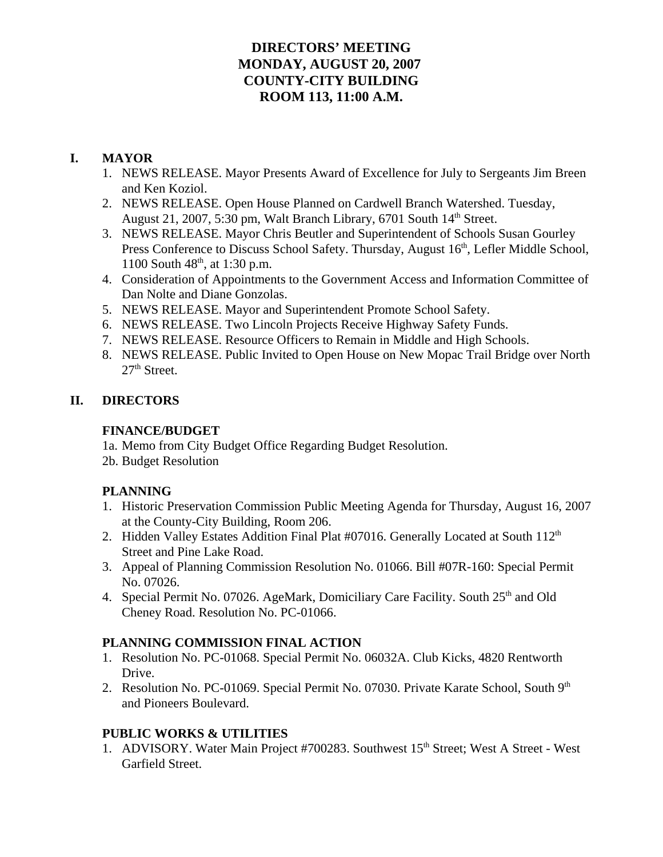# **DIRECTORS' MEETING MONDAY, AUGUST 20, 2007 COUNTY-CITY BUILDING ROOM 113, 11:00 A.M.**

## **I. MAYOR**

- 1. NEWS RELEASE. Mayor Presents Award of Excellence for July to Sergeants Jim Breen and Ken Koziol.
- 2. NEWS RELEASE. Open House Planned on Cardwell Branch Watershed. Tuesday, August 21, 2007, 5:30 pm, Walt Branch Library, 6701 South 14<sup>th</sup> Street.
- 3. NEWS RELEASE. Mayor Chris Beutler and Superintendent of Schools Susan Gourley Press Conference to Discuss School Safety. Thursday, August 16<sup>th</sup>, Lefler Middle School, 1100 South  $48<sup>th</sup>$ , at 1:30 p.m.
- 4. Consideration of Appointments to the Government Access and Information Committee of Dan Nolte and Diane Gonzolas.
- 5. NEWS RELEASE. Mayor and Superintendent Promote School Safety.
- 6. NEWS RELEASE. Two Lincoln Projects Receive Highway Safety Funds.
- 7. NEWS RELEASE. Resource Officers to Remain in Middle and High Schools.
- 8. NEWS RELEASE. Public Invited to Open House on New Mopac Trail Bridge over North  $27<sup>th</sup>$  Street.

## **II. DIRECTORS**

### **FINANCE/BUDGET**

- 1a. Memo from City Budget Office Regarding Budget Resolution.
- 2b. Budget Resolution

## **PLANNING**

- 1. Historic Preservation Commission Public Meeting Agenda for Thursday, August 16, 2007 at the County-City Building, Room 206.
- 2. Hidden Valley Estates Addition Final Plat #07016. Generally Located at South 112<sup>th</sup> Street and Pine Lake Road.
- 3. Appeal of Planning Commission Resolution No. 01066. Bill #07R-160: Special Permit No. 07026.
- 4. Special Permit No. 07026. AgeMark, Domiciliary Care Facility. South 25<sup>th</sup> and Old Cheney Road. Resolution No. PC-01066.

## **PLANNING COMMISSION FINAL ACTION**

- 1. Resolution No. PC-01068. Special Permit No. 06032A. Club Kicks, 4820 Rentworth Drive.
- 2. Resolution No. PC-01069. Special Permit No. 07030. Private Karate School, South 9<sup>th</sup> and Pioneers Boulevard.

## **PUBLIC WORKS & UTILITIES**

1. ADVISORY. Water Main Project #700283. Southwest 15<sup>th</sup> Street; West A Street - West Garfield Street.